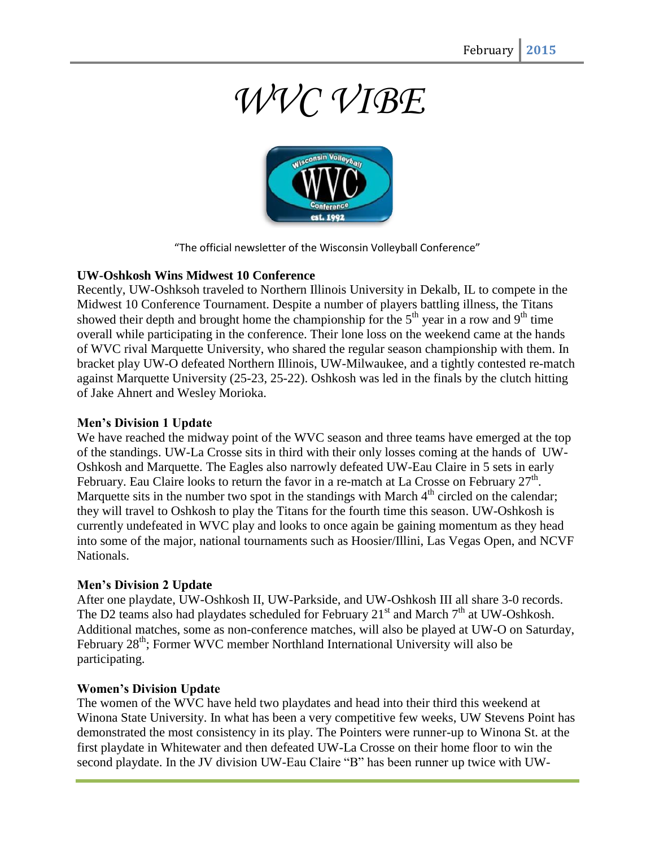# *WVC VIBE*



"The official newsletter of the Wisconsin Volleyball Conference"

#### **UW-Oshkosh Wins Midwest 10 Conference**

Recently, UW-Oshksoh traveled to Northern Illinois University in Dekalb, IL to compete in the Midwest 10 Conference Tournament. Despite a number of players battling illness, the Titans showed their depth and brought home the championship for the  $5<sup>th</sup>$  year in a row and  $9<sup>th</sup>$  time overall while participating in the conference. Their lone loss on the weekend came at the hands of WVC rival Marquette University, who shared the regular season championship with them. In bracket play UW-O defeated Northern Illinois, UW-Milwaukee, and a tightly contested re-match against Marquette University (25-23, 25-22). Oshkosh was led in the finals by the clutch hitting of Jake Ahnert and Wesley Morioka.

#### **Men's Division 1 Update**

We have reached the midway point of the WVC season and three teams have emerged at the top of the standings. UW-La Crosse sits in third with their only losses coming at the hands of UW-Oshkosh and Marquette. The Eagles also narrowly defeated UW-Eau Claire in 5 sets in early February. Eau Claire looks to return the favor in a re-match at La Crosse on February  $27<sup>th</sup>$ . Marquette sits in the number two spot in the standings with March  $4<sup>th</sup>$  circled on the calendar; they will travel to Oshkosh to play the Titans for the fourth time this season. UW-Oshkosh is currently undefeated in WVC play and looks to once again be gaining momentum as they head into some of the major, national tournaments such as Hoosier/Illini, Las Vegas Open, and NCVF Nationals.

#### **Men's Division 2 Update**

After one playdate, UW-Oshkosh II, UW-Parkside, and UW-Oshkosh III all share 3-0 records. The D2 teams also had playdates scheduled for February  $21<sup>st</sup>$  and March  $7<sup>th</sup>$  at UW-Oshkosh. Additional matches, some as non-conference matches, will also be played at UW-O on Saturday, February  $28<sup>th</sup>$ ; Former WVC member Northland International University will also be participating.

#### **Women's Division Update**

The women of the WVC have held two playdates and head into their third this weekend at Winona State University. In what has been a very competitive few weeks, UW Stevens Point has demonstrated the most consistency in its play. The Pointers were runner-up to Winona St. at the first playdate in Whitewater and then defeated UW-La Crosse on their home floor to win the second playdate. In the JV division UW-Eau Claire "B" has been runner up twice with UW-